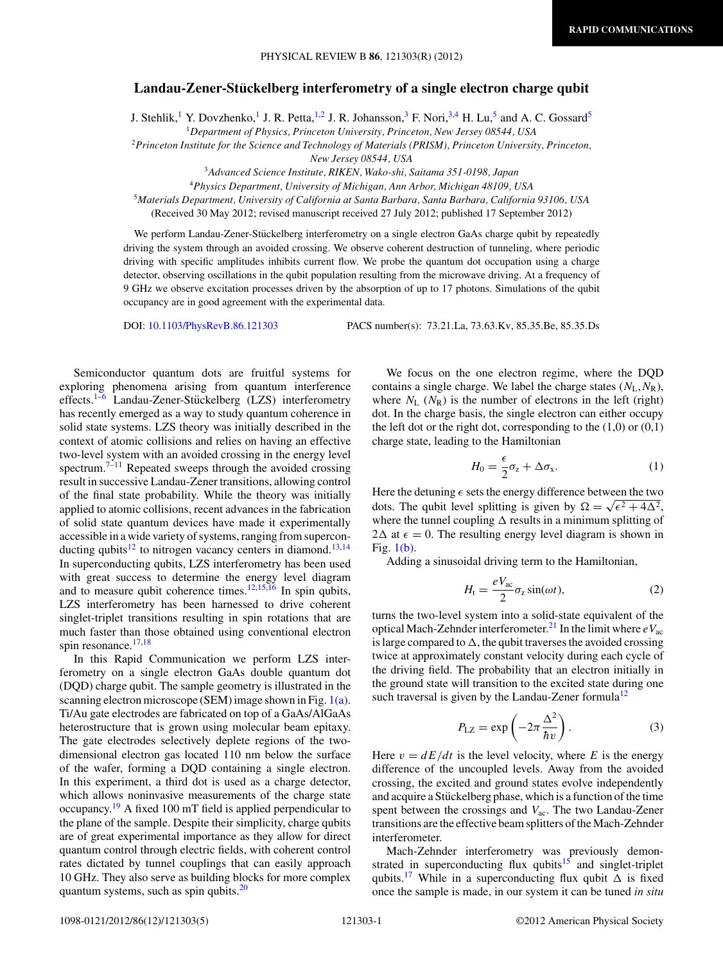## **Landau-Zener-Stuckelberg interferometry of a single electron charge qubit ¨**

J. Stehlik,<sup>1</sup> Y. Dovzhenko,<sup>1</sup> J. R. Petta,<sup>1,2</sup> J. R. Johansson,<sup>3</sup> F. Nori,<sup>3,4</sup> H. Lu,<sup>5</sup> and A. C. Gossard<sup>5</sup>

<sup>1</sup>*Department of Physics, Princeton University, Princeton, New Jersey 08544, USA*

<sup>2</sup>*Princeton Institute for the Science and Technology of Materials (PRISM), Princeton University, Princeton,*

*New Jersey 08544, USA*

<sup>3</sup>*Advanced Science Institute, RIKEN, Wako-shi, Saitama 351-0198, Japan*

<sup>4</sup>*Physics Department, University of Michigan, Ann Arbor, Michigan 48109, USA*

<sup>5</sup>*Materials Department, University of California at Santa Barbara, Santa Barbara, California 93106, USA*

(Received 30 May 2012; revised manuscript received 27 July 2012; published 17 September 2012)

We perform Landau-Zener-Stückelberg interferometry on a single electron GaAs charge qubit by repeatedly driving the system through an avoided crossing. We observe coherent destruction of tunneling, where periodic driving with specific amplitudes inhibits current flow. We probe the quantum dot occupation using a charge detector, observing oscillations in the qubit population resulting from the microwave driving. At a frequency of 9 GHz we observe excitation processes driven by the absorption of up to 17 photons. Simulations of the qubit occupancy are in good agreement with the experimental data.

DOI: [10.1103/PhysRevB.86.121303](http://dx.doi.org/10.1103/PhysRevB.86.121303) PACS number(s): 73*.*21*.*La, 73*.*63*.*Kv, 85*.*35*.*Be, 85*.*35*.*Ds

Semiconductor quantum dots are fruitful systems for exploring phenomena arising from quantum interference effects.<sup>1–6</sup> Landau-Zener-Stückelberg (LZS) interferometry has recently emerged as a way to study quantum coherence in solid state systems. LZS theory was initially described in the context of atomic collisions and relies on having an effective two-level system with an avoided crossing in the energy level spectrum.<sup>[7–11](#page-3-0)</sup> Repeated sweeps through the avoided crossing result in successive Landau-Zener transitions, allowing control of the final state probability. While the theory was initially applied to atomic collisions, recent advances in the fabrication of solid state quantum devices have made it experimentally accessible in a wide variety of systems, ranging from supercon-ducting qubits<sup>[12](#page-3-0)</sup> to nitrogen vacancy centers in diamond.<sup>13,[14](#page-4-0)</sup> In superconducting qubits, LZS interferometry has been used with great success to determine the energy level diagram and to measure qubit coherence times. $12,15,16$  $12,15,16$  In spin qubits, LZS interferometry has been harnessed to drive coherent singlet-triplet transitions resulting in spin rotations that are much faster than those obtained using conventional electron spin resonance.<sup>[17,18](#page-4-0)</sup>

In this Rapid Communication we perform LZS interferometry on a single electron GaAs double quantum dot (DQD) charge qubit. The sample geometry is illustrated in the scanning electron microscope (SEM) image shown in Fig.  $1(a)$ . Ti/Au gate electrodes are fabricated on top of a GaAs/AlGaAs heterostructure that is grown using molecular beam epitaxy. The gate electrodes selectively deplete regions of the twodimensional electron gas located 110 nm below the surface of the wafer, forming a DQD containing a single electron. In this experiment, a third dot is used as a charge detector, which allows noninvasive measurements of the charge state occupancy.[19](#page-4-0) A fixed 100 mT field is applied perpendicular to the plane of the sample. Despite their simplicity, charge qubits are of great experimental importance as they allow for direct quantum control through electric fields, with coherent control rates dictated by tunnel couplings that can easily approach 10 GHz. They also serve as building blocks for more complex quantum systems, such as spin qubits.<sup>20</sup>

We focus on the one electron regime, where the DQD contains a single charge. We label the charge states (*N*L*,N*R), where  $N_L$  ( $N_R$ ) is the number of electrons in the left (right) dot. In the charge basis, the single electron can either occupy the left dot or the right dot, corresponding to the  $(1,0)$  or  $(0,1)$ charge state, leading to the Hamiltonian

$$
H_0 = \frac{\epsilon}{2}\sigma_z + \Delta\sigma_x. \tag{1}
$$

Here the detuning  $\epsilon$  sets the energy difference between the two dots. The qubit level splitting is given by  $\Omega = \sqrt{\epsilon^2 + 4\Delta^2}$ , where the tunnel coupling  $\Delta$  results in a minimum splitting of  $2\Delta$  at  $\epsilon = 0$ . The resulting energy level diagram is shown in Fig. [1\(b\).](#page-1-0)

Adding a sinusoidal driving term to the Hamiltonian,

$$
H_{t} = \frac{eV_{ac}}{2}\sigma_{z}\sin(\omega t),
$$
 (2)

turns the two-level system into a solid-state equivalent of the optical Mach-Zehnder interferometer.<sup>[21](#page-4-0)</sup> In the limit where  $eV_{ac}$ is large compared to  $\Delta$ , the qubit traverses the avoided crossing twice at approximately constant velocity during each cycle of the driving field. The probability that an electron initially in the ground state will transition to the excited state during one such traversal is given by the Landau-Zener formula<sup>[12](#page-3-0)</sup>

$$
P_{\text{LZ}} = \exp\left(-2\pi \frac{\Delta^2}{\hbar v}\right). \tag{3}
$$

Here  $v = dE/dt$  is the level velocity, where *E* is the energy difference of the uncoupled levels. Away from the avoided crossing, the excited and ground states evolve independently and acquire a Stückelberg phase, which is a function of the time spent between the crossings and *V*ac. The two Landau-Zener transitions are the effective beam splitters of the Mach-Zehnder interferometer.

Mach-Zehnder interferometry was previously demonstrated in superconducting flux qubits $15$  and singlet-triplet qubits.<sup>[17](#page-4-0)</sup> While in a superconducting flux qubit  $\Delta$  is fixed once the sample is made, in our system it can be tuned *in situ*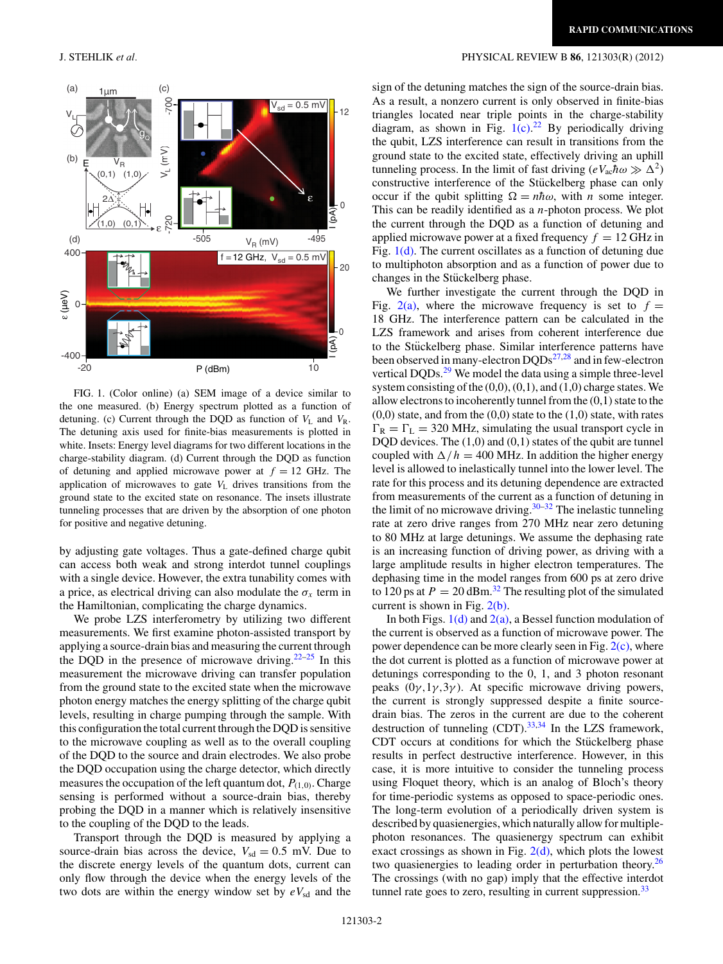

FIG. 1. (Color online) (a) SEM image of a device similar to the one measured. (b) Energy spectrum plotted as a function of detuning. (c) Current through the DQD as function of  $V_L$  and  $V_R$ . The detuning axis used for finite-bias measurements is plotted in white. Insets: Energy level diagrams for two different locations in the charge-stability diagram. (d) Current through the DQD as function of detuning and applied microwave power at  $f = 12$  GHz. The application of microwaves to gate *V*<sup>L</sup> drives transitions from the ground state to the excited state on resonance. The insets illustrate tunneling processes that are driven by the absorption of one photon for positive and negative detuning.

by adjusting gate voltages. Thus a gate-defined charge qubit can access both weak and strong interdot tunnel couplings with a single device. However, the extra tunability comes with a price, as electrical driving can also modulate the  $\sigma_x$  term in the Hamiltonian, complicating the charge dynamics.

We probe LZS interferometry by utilizing two different measurements. We first examine photon-assisted transport by applying a source-drain bias and measuring the current through the DQD in the presence of microwave driving.<sup>22–25</sup> In this measurement the microwave driving can transfer population from the ground state to the excited state when the microwave photon energy matches the energy splitting of the charge qubit levels, resulting in charge pumping through the sample. With this configuration the total current through the DQD is sensitive to the microwave coupling as well as to the overall coupling of the DQD to the source and drain electrodes. We also probe the DQD occupation using the charge detector, which directly measures the occupation of the left quantum dot,  $P_{(1,0)}$ . Charge sensing is performed without a source-drain bias, thereby probing the DQD in a manner which is relatively insensitive to the coupling of the DQD to the leads.

Transport through the DQD is measured by applying a source-drain bias across the device,  $V_{sd} = 0.5$  mV. Due to the discrete energy levels of the quantum dots, current can only flow through the device when the energy levels of the two dots are within the energy window set by  $eV_{sd}$  and the

## <span id="page-1-0"></span>J. STEHLIK *et al.* PHYSICAL REVIEW B **86**, 121303(R) (2012)

sign of the detuning matches the sign of the source-drain bias. As a result, a nonzero current is only observed in finite-bias triangles located near triple points in the charge-stability diagram, as shown in Fig.  $1(c)$ .<sup>[22](#page-4-0)</sup> By periodically driving the qubit, LZS interference can result in transitions from the ground state to the excited state, effectively driving an uphill tunneling process. In the limit of fast driving  $(eV_{ac}\hbar\omega \gg \Delta^2)$ constructive interference of the Stückelberg phase can only occur if the qubit splitting  $\Omega = n\hbar\omega$ , with *n* some integer. This can be readily identified as a *n*-photon process. We plot the current through the DQD as a function of detuning and applied microwave power at a fixed frequency  $f = 12$  GHz in Fig.  $1(d)$ . The current oscillates as a function of detuning due to multiphoton absorption and as a function of power due to changes in the Stückelberg phase.

We further investigate the current through the DQD in Fig.  $2(a)$ , where the microwave frequency is set to  $f =$ 18 GHz. The interference pattern can be calculated in the LZS framework and arises from coherent interference due to the Stückelberg phase. Similar interference patterns have been observed in many-electron DQDs<sup>[27,28](#page-4-0)</sup> and in few-electron vertical DQDs.<sup>[29](#page-4-0)</sup> We model the data using a simple three-level system consisting of the  $(0,0)$ ,  $(0,1)$ , and  $(1,0)$  charge states. We allow electrons to incoherently tunnel from the (0,1) state to the  $(0,0)$  state, and from the  $(0,0)$  state to the  $(1,0)$  state, with rates  $\Gamma_R = \Gamma_L = 320$  MHz, simulating the usual transport cycle in DQD devices. The  $(1,0)$  and  $(0,1)$  states of the qubit are tunnel coupled with  $\Delta/h = 400$  MHz. In addition the higher energy level is allowed to inelastically tunnel into the lower level. The rate for this process and its detuning dependence are extracted from measurements of the current as a function of detuning in the limit of no microwave driving.  $30-32$  The inelastic tunneling rate at zero drive ranges from 270 MHz near zero detuning to 80 MHz at large detunings. We assume the dephasing rate is an increasing function of driving power, as driving with a large amplitude results in higher electron temperatures. The dephasing time in the model ranges from 600 ps at zero drive to 120 ps at  $P = 20$  dBm.<sup>32</sup> The resulting plot of the simulated current is shown in Fig. [2\(b\).](#page-2-0)

In both Figs.  $1(d)$  and  $2(a)$ , a Bessel function modulation of the current is observed as a function of microwave power. The power dependence can be more clearly seen in Fig. [2\(c\),](#page-2-0) where the dot current is plotted as a function of microwave power at detunings corresponding to the 0, 1, and 3 photon resonant peaks  $(0\gamma,1\gamma,3\gamma)$ . At specific microwave driving powers, the current is strongly suppressed despite a finite sourcedrain bias. The zeros in the current are due to the coherent destruction of tunneling  $(CDT)$ .<sup>33,34</sup> In the LZS framework, CDT occurs at conditions for which the Stückelberg phase results in perfect destructive interference. However, in this case, it is more intuitive to consider the tunneling process using Floquet theory, which is an analog of Bloch's theory for time-periodic systems as opposed to space-periodic ones. The long-term evolution of a periodically driven system is described by quasienergies, which naturally allow for multiplephoton resonances. The quasienergy spectrum can exhibit exact crossings as shown in Fig.  $2(d)$ , which plots the lowest two quasienergies to leading order in perturbation theory.<sup>[26](#page-4-0)</sup> The crossings (with no gap) imply that the effective interdot tunnel rate goes to zero, resulting in current suppression. $33$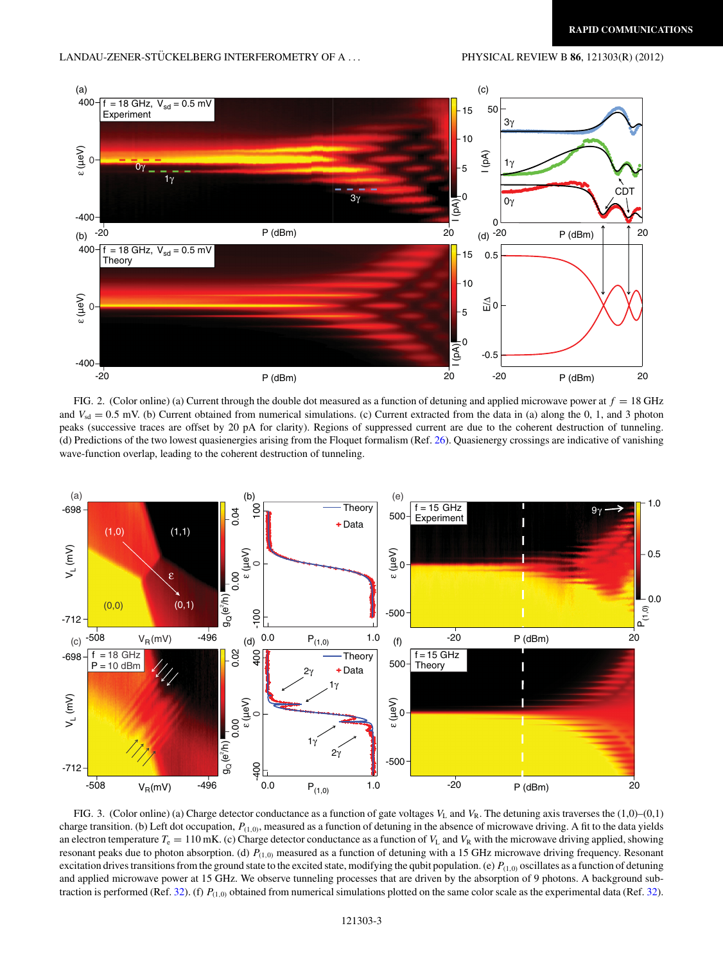<span id="page-2-0"></span>

FIG. 2. (Color online) (a) Current through the double dot measured as a function of detuning and applied microwave power at  $f = 18 \text{ GHz}$ and  $V_{sd} = 0.5$  mV. (b) Current obtained from numerical simulations. (c) Current extracted from the data in (a) along the 0, 1, and 3 photon peaks (successive traces are offset by 20 pA for clarity). Regions of suppressed current are due to the coherent destruction of tunneling. (d) Predictions of the two lowest quasienergies arising from the Floquet formalism (Ref. [26\)](#page-4-0). Quasienergy crossings are indicative of vanishing wave-function overlap, leading to the coherent destruction of tunneling.



FIG. 3. (Color online) (a) Charge detector conductance as a function of gate voltages  $V_L$  and  $V_R$ . The detuning axis traverses the (1,0)–(0,1) charge transition. (b) Left dot occupation, *P*(1*,*0), measured as a function of detuning in the absence of microwave driving. A fit to the data yields an electron temperature  $T_e = 110$  mK. (c) Charge detector conductance as a function of  $V_L$  and  $V_R$  with the microwave driving applied, showing resonant peaks due to photon absorption. (d) *P*(1*,*0) measured as a function of detuning with a 15 GHz microwave driving frequency. Resonant excitation drives transitions from the ground state to the excited state, modifying the qubit population. (e)  $P_{(1,0)}$  oscillates as a function of detuning and applied microwave power at 15 GHz. We observe tunneling processes that are driven by the absorption of 9 photons. A background sub-traction is performed (Ref. [32\)](#page-4-0). (f)  $P_{(1,0)}$  obtained from numerical simulations plotted on the same color scale as the experimental data (Ref. 32).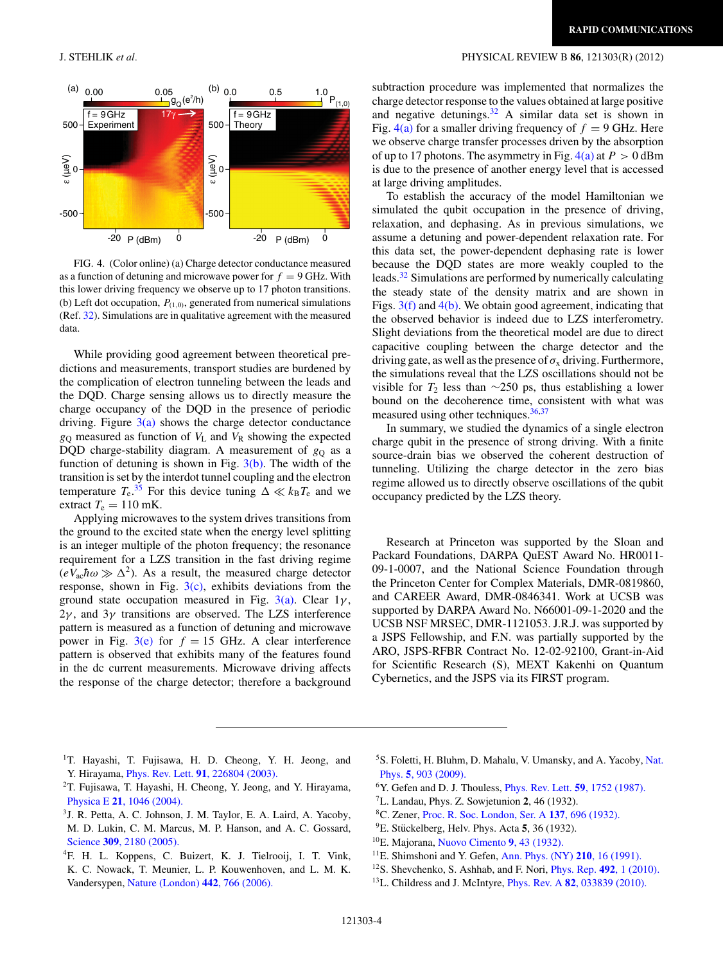## <span id="page-3-0"></span>J. STEHLIK *et al.* PHYSICAL REVIEW B **86**, 121303(R) (2012)



FIG. 4. (Color online) (a) Charge detector conductance measured as a function of detuning and microwave power for  $f = 9$  GHz. With this lower driving frequency we observe up to 17 photon transitions. (b) Left dot occupation,  $P_{(1,0)}$ , generated from numerical simulations (Ref. [32\)](#page-4-0). Simulations are in qualitative agreement with the measured data.

While providing good agreement between theoretical predictions and measurements, transport studies are burdened by the complication of electron tunneling between the leads and the DQD. Charge sensing allows us to directly measure the charge occupancy of the DQD in the presence of periodic driving. Figure  $3(a)$  shows the charge detector conductance *g*<sup>Q</sup> measured as function of *V*<sup>L</sup> and *V*<sup>R</sup> showing the expected DQD charge-stability diagram. A measurement of  $g_Q$  as a function of detuning is shown in Fig.  $3(b)$ . The width of the transition is set by the interdot tunnel coupling and the electron temperature  $T_e^{35}$  $T_e^{35}$  $T_e^{35}$ . For this device tuning  $\Delta \ll k_B T_e$  and we extract  $T_e = 110$  mK.

Applying microwaves to the system drives transitions from the ground to the excited state when the energy level splitting is an integer multiple of the photon frequency; the resonance requirement for a LZS transition in the fast driving regime  $(eV_{ac}\hbar\omega \gg \Delta^2)$ . As a result, the measured charge detector response, shown in Fig.  $3(c)$ , exhibits deviations from the ground state occupation measured in Fig.  $3(a)$ . Clear  $1\gamma$ , 2*γ* , and 3*γ* transitions are observed. The LZS interference pattern is measured as a function of detuning and microwave power in Fig.  $3(e)$  for  $f = 15$  GHz. A clear interference pattern is observed that exhibits many of the features found in the dc current measurements. Microwave driving affects the response of the charge detector; therefore a background subtraction procedure was implemented that normalizes the charge detector response to the values obtained at large positive and negative detunings[.32](#page-4-0) A similar data set is shown in Fig.  $4(a)$  for a smaller driving frequency of  $f = 9$  GHz. Here we observe charge transfer processes driven by the absorption of up to 17 photons. The asymmetry in Fig.  $4(a)$  at  $P > 0$  dBm is due to the presence of another energy level that is accessed at large driving amplitudes.

To establish the accuracy of the model Hamiltonian we simulated the qubit occupation in the presence of driving, relaxation, and dephasing. As in previous simulations, we assume a detuning and power-dependent relaxation rate. For this data set, the power-dependent dephasing rate is lower because the DQD states are more weakly coupled to the leads.[32](#page-4-0) Simulations are performed by numerically calculating the steady state of the density matrix and are shown in Figs.  $3(f)$  and  $4(b)$ . We obtain good agreement, indicating that the observed behavior is indeed due to LZS interferometry. Slight deviations from the theoretical model are due to direct capacitive coupling between the charge detector and the driving gate, as well as the presence of  $\sigma_x$  driving. Furthermore, the simulations reveal that the LZS oscillations should not be visible for  $T_2$  less than ∼250 ps, thus establishing a lower bound on the decoherence time, consistent with what was measured using other techniques.<sup>[36,37](#page-4-0)</sup>

In summary, we studied the dynamics of a single electron charge qubit in the presence of strong driving. With a finite source-drain bias we observed the coherent destruction of tunneling. Utilizing the charge detector in the zero bias regime allowed us to directly observe oscillations of the qubit occupancy predicted by the LZS theory.

Research at Princeton was supported by the Sloan and Packard Foundations, DARPA QuEST Award No. HR0011- 09-1-0007, and the National Science Foundation through the Princeton Center for Complex Materials, DMR-0819860, and CAREER Award, DMR-0846341. Work at UCSB was supported by DARPA Award No. N66001-09-1-2020 and the UCSB NSF MRSEC, DMR-1121053. J.R.J. was supported by a JSPS Fellowship, and F.N. was partially supported by the ARO, JSPS-RFBR Contract No. 12-02-92100, Grant-in-Aid for Scientific Research (S), MEXT Kakenhi on Quantum Cybernetics, and the JSPS via its FIRST program.

- <sup>1</sup>T. Hayashi, T. Fujisawa, H. D. Cheong, Y. H. Jeong, and Y. Hirayama, Phys. Rev. Lett. **91**[, 226804 \(2003\).](http://dx.doi.org/10.1103/PhysRevLett.91.226804)
- 2T. Fujisawa, T. Hayashi, H. Cheong, Y. Jeong, and Y. Hirayama, Physica E **21**[, 1046 \(2004\).](http://dx.doi.org/10.1016/j.physe.2003.11.184)
- 3J. R. Petta, A. C. Johnson, J. M. Taylor, E. A. Laird, A. Yacoby, M. D. Lukin, C. M. Marcus, M. P. Hanson, and A. C. Gossard, Science **309**[, 2180 \(2005\).](http://dx.doi.org/10.1126/science.1116955)
- 4F. H. L. Koppens, C. Buizert, K. J. Tielrooij, I. T. Vink, K. C. Nowack, T. Meunier, L. P. Kouwenhoven, and L. M. K. Vandersypen, [Nature \(London\)](http://dx.doi.org/10.1038/nature05065) **442**, 766 (2006).
- <sup>5</sup>S. Foletti, H. Bluhm, D. Mahalu, V. Umansky, and A. Yacoby, [Nat.](http://dx.doi.org/10.1038/nphys1424) Phys. **5**[, 903 \(2009\).](http://dx.doi.org/10.1038/nphys1424)
- 6Y. Gefen and D. J. Thouless, [Phys. Rev. Lett.](http://dx.doi.org/10.1103/PhysRevLett.59.1752) **59**, 1752 (1987).
- 7L. Landau, Phys. Z. Sowjetunion **2**, 46 (1932).
- 8C. Zener, [Proc. R. Soc. London, Ser. A](http://dx.doi.org/10.1098/rspa.1932.0165) **137**, 696 (1932).
- ${}^{9}E$ . Stückelberg, Helv. Phys. Acta **5**, 36 (1932).
- 10E. Majorana, [Nuovo Cimento](http://dx.doi.org/10.1007/BF02960953) **9**, 43 (1932).
- 11E. Shimshoni and Y. Gefen, [Ann. Phys. \(NY\)](http://dx.doi.org/10.1016/0003-4916(91)90275-D) **210**, 16 (1991).
- 12S. Shevchenko, S. Ashhab, and F. Nori, [Phys. Rep.](http://dx.doi.org/10.1016/j.physrep.2010.03.002) **492**, 1 (2010).
- 13L. Childress and J. McIntyre, Phys. Rev. A **82**[, 033839 \(2010\).](http://dx.doi.org/10.1103/PhysRevA.82.033839)